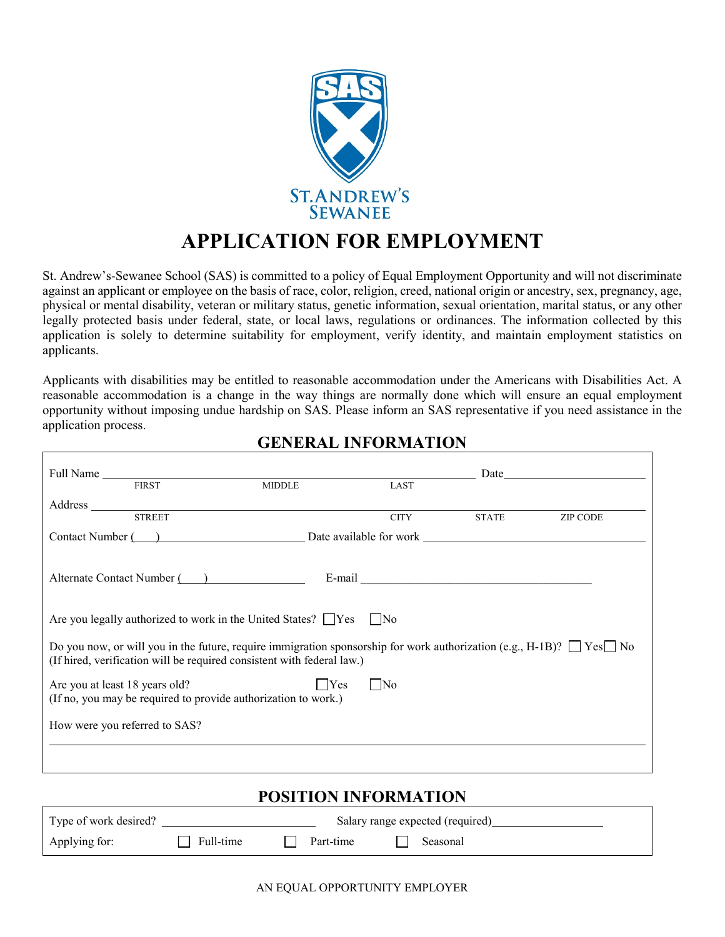

# **APPLICATION FOR EMPLOYMENT**

St. Andrew's-Sewanee School (SAS) is committed to a policy of Equal Employment Opportunity and will not discriminate against an applicant or employee on the basis of race, color, religion, creed, national origin or ancestry, sex, pregnancy, age, physical or mental disability, veteran or military status, genetic information, sexual orientation, marital status, or any other legally protected basis under federal, state, or local laws, regulations or ordinances. The information collected by this application is solely to determine suitability for employment, verify identity, and maintain employment statistics on applicants.

Applicants with disabilities may be entitled to reasonable accommodation under the Americans with Disabilities Act. A reasonable accommodation is a change in the way things are normally done which will ensure an equal employment opportunity without imposing undue hardship on SAS. Please inform an SAS representative if you need assistance in the application process.

|                                | <b>FIRST</b> | <b>MIDDLE</b>                                                                 | LAST                                                                                                                             |              |                 |
|--------------------------------|--------------|-------------------------------------------------------------------------------|----------------------------------------------------------------------------------------------------------------------------------|--------------|-----------------|
|                                |              |                                                                               |                                                                                                                                  |              |                 |
|                                |              | Address STREET                                                                | <b>CITY</b>                                                                                                                      | <b>STATE</b> | <b>ZIP CODE</b> |
|                                |              |                                                                               | Contact Number (Case 2) Date available for work <u>Contact Number (Case 2)</u>                                                   |              |                 |
|                                |              |                                                                               |                                                                                                                                  |              |                 |
|                                |              | Alternate Contact Number ()                                                   |                                                                                                                                  |              |                 |
|                                |              |                                                                               |                                                                                                                                  |              |                 |
|                                |              | Are you legally authorized to work in the United States? $\Box$ Yes $\Box$ No |                                                                                                                                  |              |                 |
|                                |              | (If hired, verification will be required consistent with federal law.)        | Do you now, or will you in the future, require immigration sponsorship for work authorization (e.g., H-1B)? $\Box$ Yes $\Box$ No |              |                 |
| Are you at least 18 years old? |              | (If no, you may be required to provide authorization to work.)                | Yes<br>   No                                                                                                                     |              |                 |
| How were you referred to SAS?  |              |                                                                               |                                                                                                                                  |              |                 |
|                                |              |                                                                               |                                                                                                                                  |              |                 |

## **GENERAL INFORMATION**

# **POSITION INFORMATION**

| Type of work desired? |           |  | Salary range expected (required) |          |
|-----------------------|-----------|--|----------------------------------|----------|
| Applying for:         | Full-time |  | Part-time                        | Seasonal |

AN EQUAL OPPORTUNITY EMPLOYER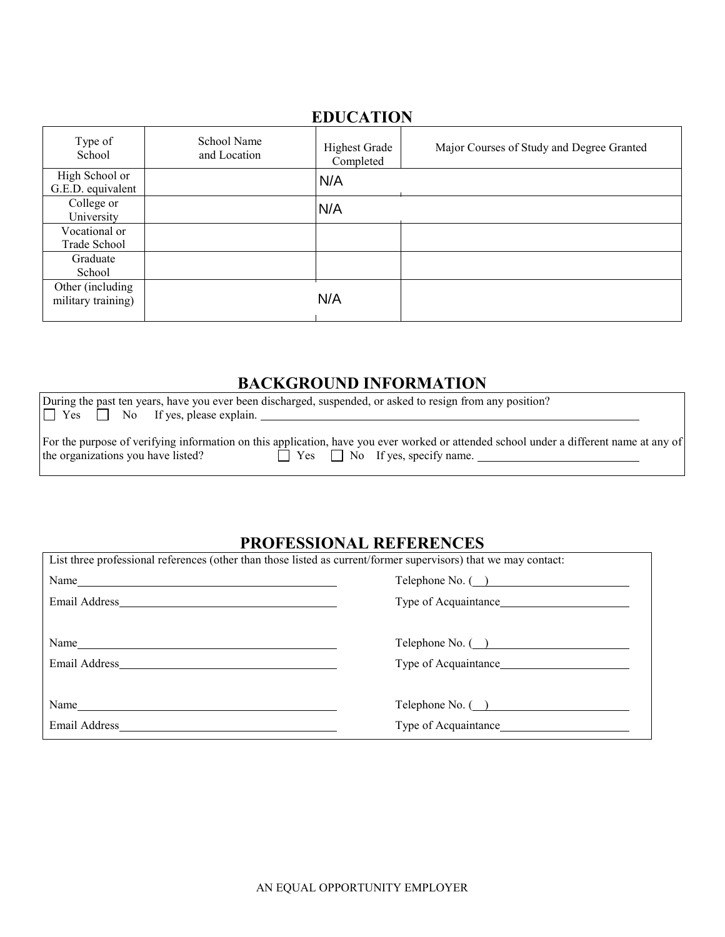#### **EDUCATION**

| Type of<br>School                       | School Name<br>and Location | <b>Highest Grade</b><br>Completed | Major Courses of Study and Degree Granted |
|-----------------------------------------|-----------------------------|-----------------------------------|-------------------------------------------|
| High School or<br>G.E.D. equivalent     |                             | N/A                               |                                           |
| College or<br>University                |                             | N/A                               |                                           |
| Vocational or<br>Trade School           |                             |                                   |                                           |
| Graduate<br>School                      |                             |                                   |                                           |
| Other (including)<br>military training) |                             | N/A                               |                                           |

# **BACKGROUND INFORMATION**

| During the past ten years, have you ever been discharged, suspended, or asked to resign from any position?                                                                                                                 |  |
|----------------------------------------------------------------------------------------------------------------------------------------------------------------------------------------------------------------------------|--|
| $\Box$ Yes $\Box$ No If yes, please explain.                                                                                                                                                                               |  |
| For the purpose of verifying information on this application, have you ever worked or attended school under a different name at any of<br>$\Box$ Yes $\Box$ No If yes, specify name.<br>the organizations you have listed? |  |

## **PROFESSIONAL REFERENCES**

| List three professional references (other than those listed as current/former supervisors) that we may contact:                                                                                                                          |                            |  |  |  |
|------------------------------------------------------------------------------------------------------------------------------------------------------------------------------------------------------------------------------------------|----------------------------|--|--|--|
| Name <sub>nt</sub> and the set of the set of the set of the set of the set of the set of the set of the set of the set of the set of the set of the set of the set of the set of the set of the set of the set of the set of the set of  | Telephone No. (__)         |  |  |  |
|                                                                                                                                                                                                                                          | Type of Acquaintance       |  |  |  |
|                                                                                                                                                                                                                                          |                            |  |  |  |
| Name has a series of the series of the series of the series of the series of the series of the series of the series of the series of the series of the series of the series of the series of the series of the series of the s           | Telephone No. (__)         |  |  |  |
|                                                                                                                                                                                                                                          |                            |  |  |  |
|                                                                                                                                                                                                                                          |                            |  |  |  |
| Name <sub>nt</sub> and the same of the same of the same of the same of the same of the same of the same of the same of the same of the same of the same of the same of the same of the same of the same of the same of the same of the s | $\text{Telephone No.}$ ( ) |  |  |  |
|                                                                                                                                                                                                                                          | Type of Acquaintance       |  |  |  |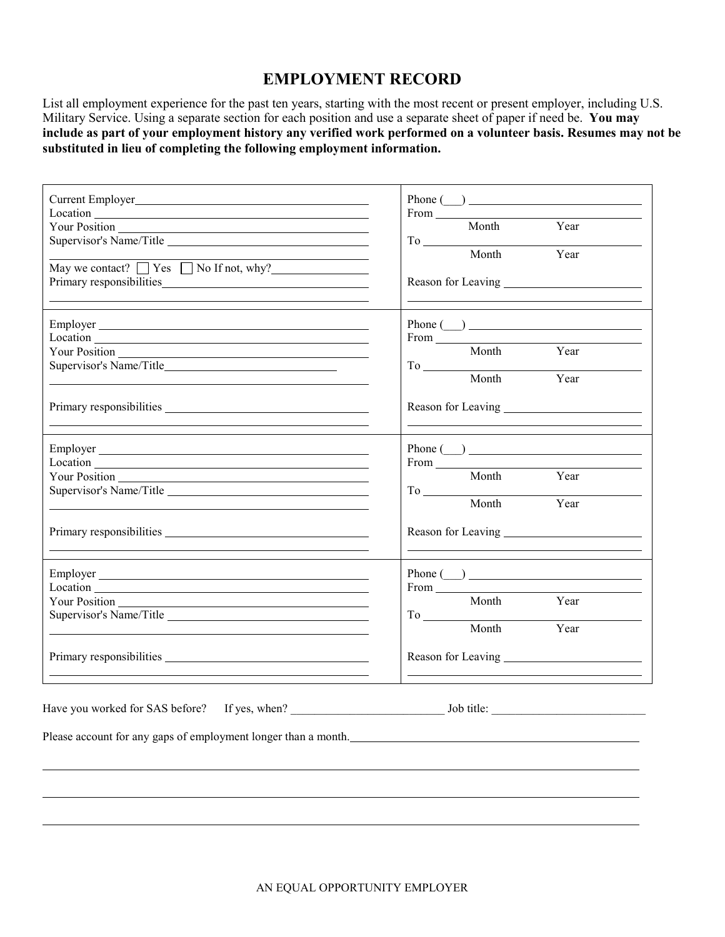### **EMPLOYMENT RECORD**

List all employment experience for the past ten years, starting with the most recent or present employer, including U.S. Military Service. Using a separate section for each position and use a separate sheet of paper if need be. **You may include as part of your employment history any verified work performed on a volunteer basis. Resumes may not be substituted in lieu of completing the following employment information.**

| Location <b>Executive Contract Contract Contract Contract Contract Contract Contract Contract Contract Contract Contract Contract Contract Contract Contract Contract Contract Contract Contract Contract Contract Contract Cont</b><br>$\overline{\text{May we contact?}}$ $\Box$ Yes $\Box$ No If not, why? | $\boxed{\text{Phone} \left( \begin{array}{c} \text{} \end{array} \right)}$<br>Month Year<br>To Month Year               |
|---------------------------------------------------------------------------------------------------------------------------------------------------------------------------------------------------------------------------------------------------------------------------------------------------------------|-------------------------------------------------------------------------------------------------------------------------|
| Location <u>and the contract of the contract of the contract of the contract of the contract of the contract of the contract of the contract of the contract of the contract of the contract of the contract of the contract of </u><br><u> 1989 - Johann Stoff, amerikansk politiker (* 1908)</u>            | From Month Year<br>To Month Year                                                                                        |
|                                                                                                                                                                                                                                                                                                               |                                                                                                                         |
| Supervisor's Name/Title                                                                                                                                                                                                                                                                                       | $\text{Phone} \text{ }(\underline{\hspace{1cm}}) \text{ } \underline{\hspace{1cm}}$<br>From Month Year<br>To Month Year |
| Location <b>Executive Contract Contract Contract Contract Contract Contract Contract Contract Contract Contract Contract Contract Contract Contract Contract Contract Contract Contract Contract Contract Contract Contract Cont</b><br>Supervisor's Name/Title                                               | Phone $\qquad \qquad$<br>Month Year<br>To Month Year                                                                    |
| Please account for any gaps of employment longer than a month.                                                                                                                                                                                                                                                |                                                                                                                         |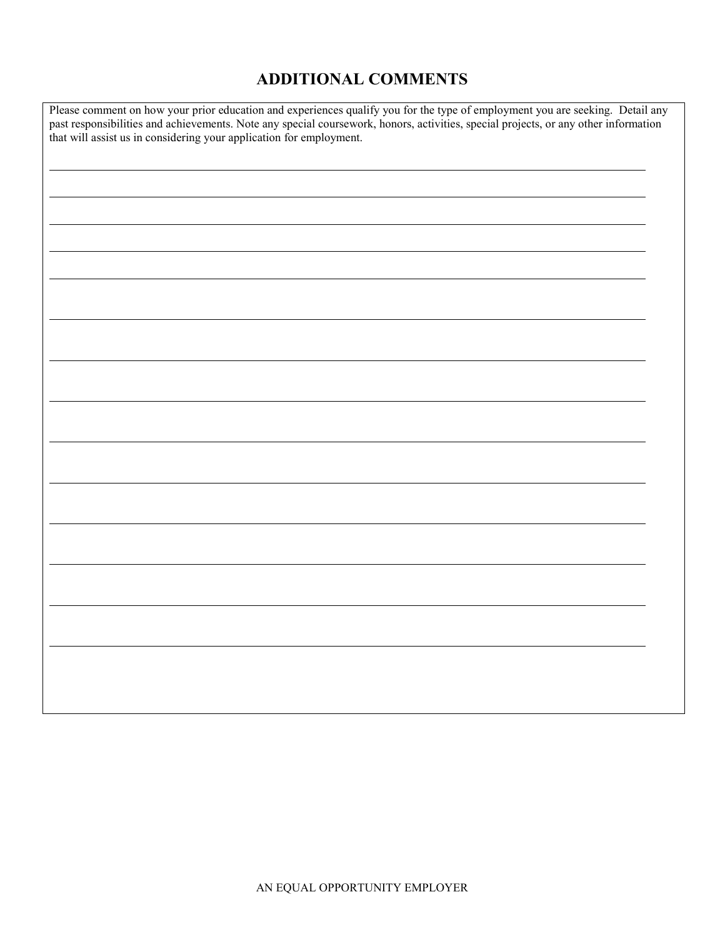# **ADDITIONAL COMMENTS**

| Please comment on how your prior education and experiences qualify you for the type of employment you are seeking. Detail any past responsibilities and achievements. Note any special coursework, honors, activities, special |  |  |  |
|--------------------------------------------------------------------------------------------------------------------------------------------------------------------------------------------------------------------------------|--|--|--|
|                                                                                                                                                                                                                                |  |  |  |
|                                                                                                                                                                                                                                |  |  |  |
|                                                                                                                                                                                                                                |  |  |  |
|                                                                                                                                                                                                                                |  |  |  |
|                                                                                                                                                                                                                                |  |  |  |
|                                                                                                                                                                                                                                |  |  |  |
|                                                                                                                                                                                                                                |  |  |  |
|                                                                                                                                                                                                                                |  |  |  |
|                                                                                                                                                                                                                                |  |  |  |
|                                                                                                                                                                                                                                |  |  |  |
|                                                                                                                                                                                                                                |  |  |  |
|                                                                                                                                                                                                                                |  |  |  |
|                                                                                                                                                                                                                                |  |  |  |
|                                                                                                                                                                                                                                |  |  |  |
|                                                                                                                                                                                                                                |  |  |  |
|                                                                                                                                                                                                                                |  |  |  |
|                                                                                                                                                                                                                                |  |  |  |
|                                                                                                                                                                                                                                |  |  |  |
|                                                                                                                                                                                                                                |  |  |  |
|                                                                                                                                                                                                                                |  |  |  |
|                                                                                                                                                                                                                                |  |  |  |
|                                                                                                                                                                                                                                |  |  |  |
|                                                                                                                                                                                                                                |  |  |  |
|                                                                                                                                                                                                                                |  |  |  |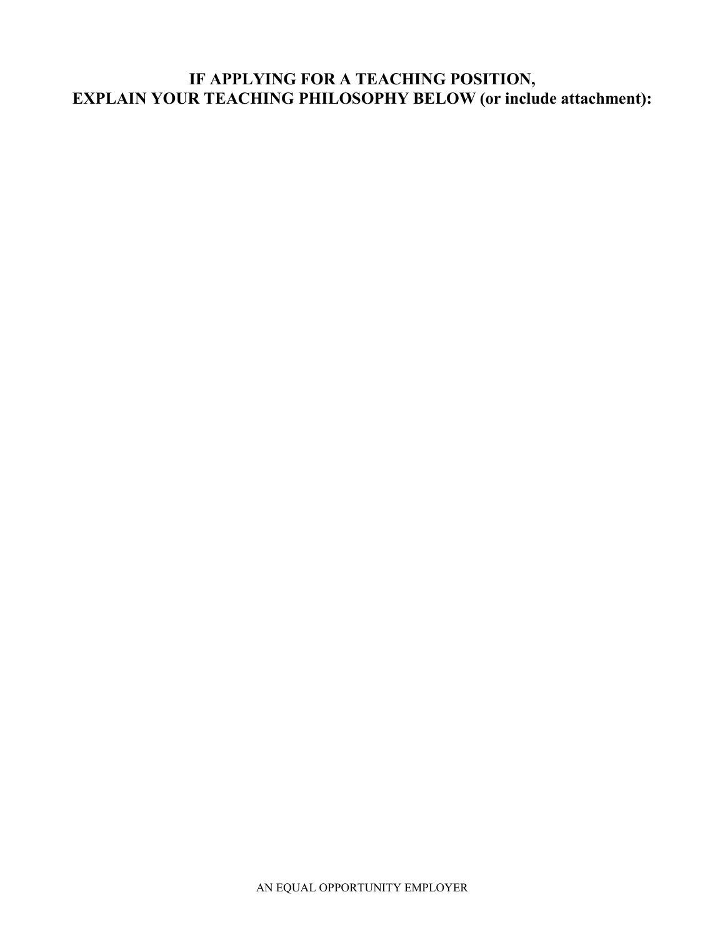# **IF APPLYING FOR A TEACHING POSITION, EXPLAIN YOUR TEACHING PHILOSOPHY BELOW (or include attachment):**